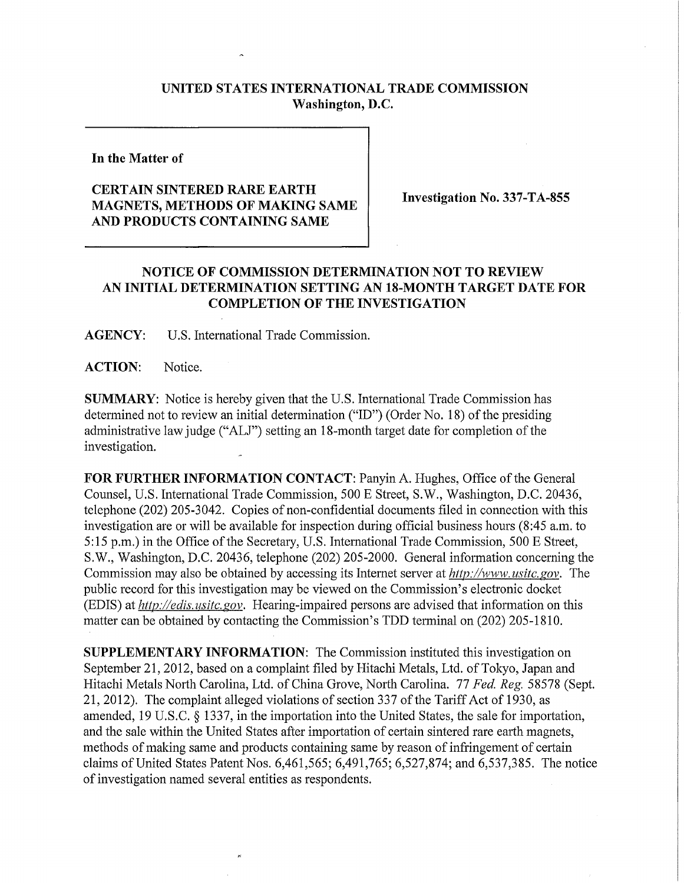## **UNITED STATES INTERNATIONAL TRADE COMMISSION Washington, D.C.**

**In the Matter of** 

## **CERTAIN SINTERED RARE EARTH MAGNETS, METHODS OF MAKING SAME AND PRODUCTS CONTAINING SAME**

**Investigation No. 337-TA-855** 

## **NOTICE OF COMMISSION DETERMINATION NOT TO REVIEW AN INITIAL DETERMINATION SETTING AN 18-MONTH TARGET DATE FOR COMPLETION OF THE INVESTIGATION**

**AGENCY:** U**.S.** International Trade Commission.

**ACTION:** Notice.

**SUMMARY:** Notice is hereby given that the U.S. International Trade Commission has determined not to review an initial determination ("ID") (Order No. 18) of the presiding administrative law judge ("ALJ") setting an 18-month target date for completion of the investigation.

FOR FURTHER INFORMATION CONTACT: Panyin A. Hughes, Office of the General Counsel, U.S. International Trade Commission, 500 E Street, S.W., Washington, D.C. 20436, telephone (202) 205-3042. Copies of non-confidential documents filed in connection with this investigation are or will be available for inspection during official business hours (8:45 a.m. to 5:15 p.m.) in the Office of the Secretary, U.S. International Trade Commission, 500 E Street, S.W., Washington, D.C. 20436, telephone (202) 205-2000. General information concerning the Commission may also be obtained by accessing its Internet server at *http://www. usitc. gov.* The public record for this investigation may be viewed on the Commission's electronic docket (EDIS) at *http://edis. usitc. gov.* Hearing-impaired persons are advised that information on this matter can be obtained by contacting the Commission's TDD terminal on (202) 205-1810.

**SUPPLEMENTARY INFORMATION:** The Commission instituted this investigation on September 21,2012, based on a complaint filed by Hitachi Metals, Ltd. of Tokyo, Japan and Hitachi Metals North Carolina, Ltd. of China Grove, North Carolina. 77 *Fed. Reg.* 58578 (Sept. 21, 2012). The complaint alleged violations of section 337 of the Tariff Act of 1930, as amended, 19 U.S.C. § 1337, in the importation into the United States, the sale for importation, and the sale within the United States after importation of certain sintered rare earth magnets, methods of making same and products containing same by reason of infringement of certain claims of United States Patent Nos.  $6,461,565$ ;  $6,491,765$ ;  $6,527,874$ ; and  $6,537,385$ . The notice of investigation named several entities as respondents.